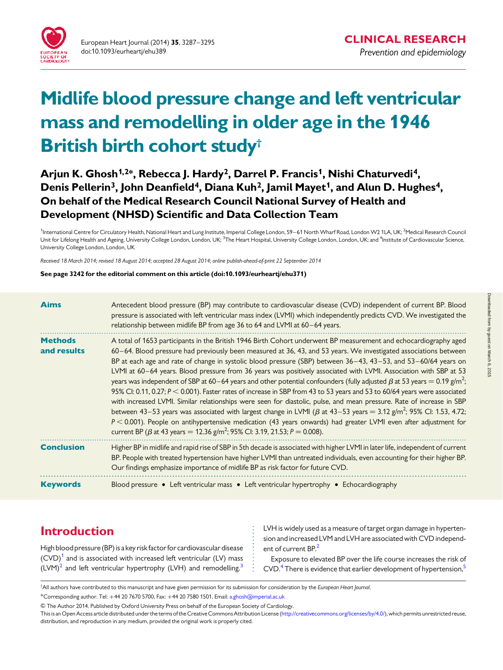

# Midlife blood pressure change and left ventricular mass and remodelling in older age in the 1946 British birth cohort study†

## Arjun K. Ghosh<sup>1,2\*</sup>, Rebecca J. Hardy<sup>2</sup>, Darrel P. Francis<sup>1</sup>, Nishi Chaturvedi<sup>4</sup>, Denis Pellerin<sup>3</sup>, John Deanfield<sup>4</sup>, Diana Kuh<sup>2</sup>, Jamil Mayet<sup>1</sup>, and Alun D. Hughes<sup>4</sup>, On behalf of the Medical Research Council National Survey of Health and Development (NHSD) Scientific and Data Collection Team

<sup>1</sup>International Centre for Circulatory Health, National Heart and Lung Institute, Imperial College London, 59–61 North Wharf Road, London W2 1LA, UK; <sup>2</sup>Medical Research Council Unit for Lifelong Health and Ageing, University College London, London, UK; <sup>3</sup>The Heart Hospital, University College London, London, UK; and <sup>4</sup>Institute of Cardiovascular Science. University College London, London, UK

Received 18 March 2014; revised 18 August 2014; accepted 28 August 2014; online publish-ahead-of-print 22 September 2014

See page 3242 for the editorial comment on this article (doi:10.1093/eurheartj/ehu371)

| <b>Aims</b>                   | Antecedent blood pressure (BP) may contribute to cardiovascular disease (CVD) independent of current BP. Blood<br>pressure is associated with left ventricular mass index (LVMI) which independently predicts CVD. We investigated the<br>relationship between midlife BP from age 36 to 64 and LVMI at 60-64 years.                                                                                                                                                                                                                                                                                                                                                                                                                                                                                                                                                                                                                                                                                                                                                                                                                                                                                                                          |
|-------------------------------|-----------------------------------------------------------------------------------------------------------------------------------------------------------------------------------------------------------------------------------------------------------------------------------------------------------------------------------------------------------------------------------------------------------------------------------------------------------------------------------------------------------------------------------------------------------------------------------------------------------------------------------------------------------------------------------------------------------------------------------------------------------------------------------------------------------------------------------------------------------------------------------------------------------------------------------------------------------------------------------------------------------------------------------------------------------------------------------------------------------------------------------------------------------------------------------------------------------------------------------------------|
| <b>Methods</b><br>and results | A total of 1653 participants in the British 1946 Birth Cohort underwent BP measurement and echocardiography aged<br>60-64. Blood pressure had previously been measured at 36, 43, and 53 years. We investigated associations between<br>BP at each age and rate of change in systolic blood pressure (SBP) between 36-43, 43-53, and 53-60/64 years on<br>LVMI at 60-64 years. Blood pressure from 36 years was positively associated with LVMI. Association with SBP at 53<br>years was independent of SBP at 60–64 years and other potential confounders (fully adjusted $\beta$ at 53 years = 0.19 g/m <sup>2</sup> ;<br>95% Cl: 0.11, 0.27; P < 0.001). Faster rates of increase in SBP from 43 to 53 years and 53 to 60/64 years were associated<br>with increased LVMI. Similar relationships were seen for diastolic, pulse, and mean pressure. Rate of increase in SBP<br>between 43–53 years was associated with largest change in LVMI ( $\beta$ at 43–53 years = 3.12 g/m <sup>2</sup> ; 95% CI: 1.53, 4.72;<br>$P < 0.001$ ). People on antihypertensive medication (43 years onwards) had greater LVMI even after adjustment for<br>current BP ( $\beta$ at 43 years = 12.36 g/m <sup>2</sup> ; 95% Cl: 3.19, 21.53; P = 0.008). |
| <b>Conclusion</b>             | Higher BP in midlife and rapid rise of SBP in 5th decade is associated with higher LVMI in later life, independent of current<br>BP. People with treated hypertension have higher LVMI than untreated individuals, even accounting for their higher BP.<br>Our findings emphasize importance of midlife BP as risk factor for future CVD.                                                                                                                                                                                                                                                                                                                                                                                                                                                                                                                                                                                                                                                                                                                                                                                                                                                                                                     |
| <b>Keywords</b>               | Blood pressure • Left ventricular mass • Left ventricular hypertrophy • Echocardiography                                                                                                                                                                                                                                                                                                                                                                                                                                                                                                                                                                                                                                                                                                                                                                                                                                                                                                                                                                                                                                                                                                                                                      |

## Introduction

High blood pressure (BP) is a key risk factor for cardiovascular disease  $(CVD)^1$  and is associated with increased left ventricular (LV) mass  $(LVM)^2$  $(LVM)^2$  and left ventricular hypertrophy (LVH) and remodelling.<sup>[3](#page-7-0)</sup>

LVH is widely used as a measure of target organ damage in hypertension and increased LVM and LVH are associated with CVD independ-ent of current BP.<sup>[2](#page-7-0)</sup>

Exposure to elevated BP over the life course increases the risk of  $CVD.<sup>4</sup>$  $CVD.<sup>4</sup>$  $CVD.<sup>4</sup>$  There is evidence that earlier development of hypertension, $5$ 

<sup>†</sup> All authors have contributed to this manuscript and have given permission for its submission for consideration by the European Heart Journal.

<sup>\*</sup>Corresponding author. Tel: +44 20 7670 5700, Fax: +44 20 7580 1501, Email: [a.ghosh@imperial.ac.uk](mailto:a.ghosh@imperial.ac.uk)

<sup>&</sup>amp; The Author 2014. Published by Oxford University Press on behalf of the European Society of Cardiology.

This is an Open Access article distributed under the terms of the Creative Commons Attribution License ([http://creativecommons.org/licenses/by/4.0/\)](http://creativecommons.org/licenses/by/4.0/), which permits unrestricted reuse, distribution, and reproduction in any medium, provided the original work is properly cited.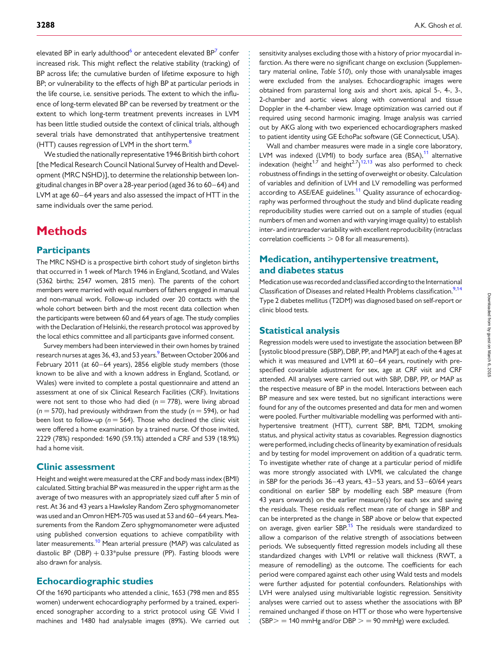elevated BP in early adulthood<sup>[6](#page-7-0)</sup> or antecedent elevated BP<sup>[7](#page-7-0)</sup> confer increased risk. This might reflect the relative stability (tracking) of BP across life; the cumulative burden of lifetime exposure to high BP; or vulnerability to the effects of high BP at particular periods in the life course, i.e. sensitive periods. The extent to which the influence of long-term elevated BP can be reversed by treatment or the extent to which long-term treatment prevents increases in LVM has been little studied outside the context of clinical trials, although several trials have demonstrated that antihypertensive treatment (HTT) causes regression of LVM in the short term.<sup>[8](#page-7-0)</sup>

We studied the nationally representative 1946 British birth cohort [the Medical Research Council National Survey of Health and Development (MRC NSHD)], to determine the relationship between longitudinal changes in BP over a 28-year period (aged 36 to 60–64) and LVM at age 60–64 years and also assessed the impact of HTT in the same individuals over the same period.

## **Methods**

#### **Participants**

The MRC NSHD is a prospective birth cohort study of singleton births that occurred in 1 week of March 1946 in England, Scotland, and Wales (5362 births; 2547 women, 2815 men). The parents of the cohort members were married with equal numbers of fathers engaged in manual and non-manual work. Follow-up included over 20 contacts with the whole cohort between birth and the most recent data collection when the participants were between 60 and 64 years of age. The study complies with the Declaration of Helsinki, the research protocol was approved by the local ethics committee and all participants gave informed consent.

Survey members had been interviewed in their own homes by trained research nurses at ages 36, 43, and 53 years.<sup>9</sup> Between October 2006 and February 2011 (at 60–64 years), 2856 eligible study members (those known to be alive and with a known address in England, Scotland, or Wales) were invited to complete a postal questionnaire and attend an assessment at one of six Clinical Research Facilities (CRF). Invitations were not sent to those who had died ( $n = 778$ ), were living abroad  $(n = 570)$ , had previously withdrawn from the study  $(n = 594)$ , or had been lost to follow-up ( $n = 564$ ). Those who declined the clinic visit were offered a home examination by a trained nurse. Of those invited, 2229 (78%) responded: 1690 (59.1%) attended a CRF and 539 (18.9%) had a home visit.

#### Clinic assessment

Height and weight were measured at the CRF and body mass index (BMI) calculated. Sitting brachial BP was measured in the upper right arm as the average of two measures with an appropriately sized cuff after 5 min of rest. At 36 and 43 years a Hawksley Random Zero sphygmomanometer was used and an Omron HEM-705 was used at 53 and 60–64 years. Measurements from the Random Zero sphygmomanometer were adjusted using published conversion equations to achieve compatibility with later measurements.<sup>10</sup> Mean arterial pressure (MAP) was calculated as diastolic BP (DBP)  $+$  0.33\*pulse pressure (PP). Fasting bloods were also drawn for analysis.

#### Echocardiographic studies

Of the 1690 participants who attended a clinic, 1653 (798 men and 855 women) underwent echocardiography performed by a trained, experienced sonographer according to a strict protocol using GE Vivid I machines and 1480 had analysable images (89%). We carried out

sensitivity analyses excluding those with a history of prior myocardial infarction. As there were no significant change on exclusion ([Supplemen](http://eurheartj.oxfordjournals.org/lookup/suppl/doi:10.1093/eurheartj/ehu389/-/DC1)[tary material online,](http://eurheartj.oxfordjournals.org/lookup/suppl/doi:10.1093/eurheartj/ehu389/-/DC1) Table S10), only those with unanalysable images were excluded from the analyses. Echocardiographic images were obtained from parasternal long axis and short axis, apical 5-, 4-, 3-, 2-chamber and aortic views along with conventional and tissue Doppler in the 4-chamber view. Image optimization was carried out if required using second harmonic imaging. Image analysis was carried out by AKG along with two experienced echocardiographers masked to patient identity using GE EchoPac software (GE Connecticut, USA).

Wall and chamber measures were made in a single core laboratory, LVM was indexed (LVMI) to body surface area  $(BSA)$ ,<sup>[11](#page-7-0)</sup> alternative indexation (height<sup>1.7</sup> and height<sup>2.7</sup>)<sup>[12,13](#page-7-0)</sup> was also performed to check robustness of findings in the setting of overweight or obesity. Calculation of variables and definition of LVH and LV remodelling was performed according to ASE/EAE guidelines.<sup>[11](#page-7-0)</sup> Quality assurance of echocardiography was performed throughout the study and blind duplicate reading reproducibility studies were carried out on a sample of studies (equal numbers of men and women and with varying image quality) to establish inter- and intrareader variability with excellent reproducibility (intraclass correlation coefficients  $> 0.8$  for all measurements).

#### Medication, antihypertensive treatment, and diabetes status

Medication use was recorded and classified according to the International Classification of Diseases and related Health Problems classification.<sup>9,14</sup> Type 2 diabetes mellitus (T2DM) was diagnosed based on self-report or clinic blood tests.

#### Statistical analysis

Regression models were used to investigate the association between BP [systolic blood pressure (SBP), DBP, PP, and MAP] at each of the 4 ages at which it was measured and LVMI at 60–64 years, routinely with prespecified covariable adjustment for sex, age at CRF visit and CRF attended. All analyses were carried out with SBP, DBP, PP, or MAP as the respective measure of BP in the model. Interactions between each BP measure and sex were tested, but no significant interactions were found for any of the outcomes presented and data for men and women were pooled. Further multivariable modelling was performed with antihypertensive treatment (HTT), current SBP, BMI, T2DM, smoking status, and physical activity status as covariables. Regression diagnostics were performed, including checks of linearity by examination of residuals and by testing for model improvement on addition of a quadratic term. To investigate whether rate of change at a particular period of midlife was more strongly associated with LVMI, we calculated the change in SBP for the periods 36–43 years, 43–53 years, and 53–60/64 years conditional on earlier SBP by modelling each SBP measure (from 43 years onwards) on the earlier measure(s) for each sex and saving the residuals. These residuals reflect mean rate of change in SBP and can be interpreted as the change in SBP above or below that expected on average, given earlier SBP.<sup>[15](#page-7-0)</sup> The residuals were standardized to allow a comparison of the relative strength of associations between periods. We subsequently fitted regression models including all these standardized changes with LVMI or relative wall thickness (RWT, a measure of remodelling) as the outcome. The coefficients for each period were compared against each other using Wald tests and models were further adjusted for potential confounders. Relationships with LVH were analysed using multivariable logistic regression. Sensitivity analyses were carried out to assess whether the associations with BP remained unchanged if those on HTT or those who were hypertensive  $(SBP> = 140$  mmHg and/or DBP  $> = 90$  mmHg) were excluded.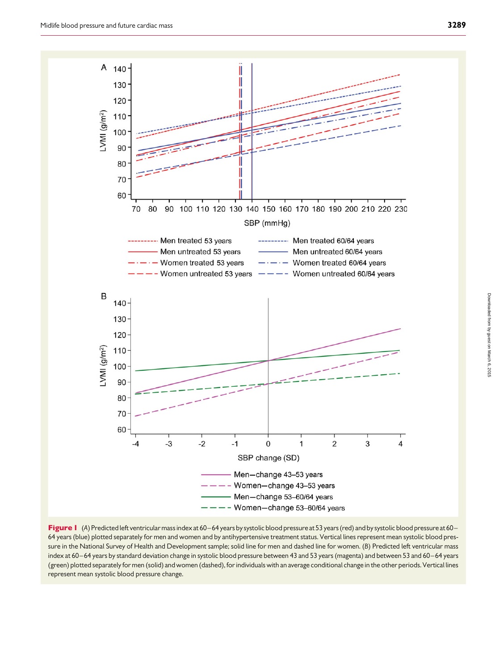<span id="page-2-0"></span>

Figure I (A) Predicted left ventricular mass index at 60–64 years by systolic blood pressure at 53 years (red) and by systolic blood pressure at 60– 64 years (blue) plotted separately for men and women and by antihypertensive treatment status. Vertical lines represent mean systolic blood pressure in the National Survey of Health and Development sample; solid line for men and dashed line for women. (B) Predicted left ventricular mass index at 60–64 years by standard deviation change in systolic blood pressure between 43 and 53 years (magenta) and between 53 and 60–64 years (green) plotted separately for men (solid) and women (dashed), for individuals with an average conditional change in the other periods. Vertical lines represent mean systolic blood pressure change.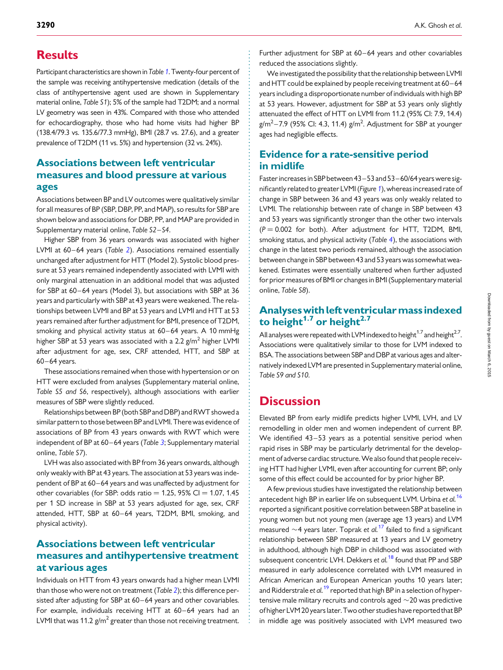## **Results**

Participant characteristics are shown in Table [1](#page-4-0). Twenty-four percent of the sample was receiving antihypertensive medication (details of the class of antihypertensive agent used are shown in [Supplementary](http://eurheartj.oxfordjournals.org/lookup/suppl/doi:10.1093/eurheartj/ehu389/-/DC1) [material online,](http://eurheartj.oxfordjournals.org/lookup/suppl/doi:10.1093/eurheartj/ehu389/-/DC1) Table S1); 5% of the sample had T2DM; and a normal LV geometry was seen in 43%. Compared with those who attended for echocardiography, those who had home visits had higher BP (138.4/79.3 vs. 135.6/77.3 mmHg), BMI (28.7 vs. 27.6), and a greater prevalence of T2DM (11 vs. 5%) and hypertension (32 vs. 24%).

## Associations between left ventricular measures and blood pressure at various ages

Associations between BP and LV outcomes were qualitatively similar for all measures of BP (SBP, DBP, PP, and MAP), so results for SBP are shown below and associations for DBP, PP, and MAP are provided in [Supplementary material online,](http://eurheartj.oxfordjournals.org/lookup/suppl/doi:10.1093/eurheartj/ehu389/-/DC1) Table S2-S4.

Higher SBP from 36 years onwards was associated with higher LVMI at 60–64 years (Table [2](#page-5-0)). Associations remained essentially unchanged after adjustment for HTT (Model 2). Systolic blood pressure at 53 years remained independently associated with LVMI with only marginal attenuation in an additional model that was adjusted for SBP at 60–64 years (Model 3), but associations with SBP at 36 years and particularly with SBP at 43 years were weakened. The relationships between LVMI and BP at 53 years and LVMI and HTT at 53 years remained after further adjustment for BMI, presence of T2DM, smoking and physical activity status at 60–64 years. A 10 mmHg higher SBP at 53 years was associated with a 2.2  $g/m^2$  higher LVMI after adjustment for age, sex, CRF attended, HTT, and SBP at 60–64 years.

These associations remained when those with hypertension or on HTT were excluded from analyses [\(Supplementary material online,](http://eurheartj.oxfordjournals.org/lookup/suppl/doi:10.1093/eurheartj/ehu389/-/DC1) [Table S5 and S6](http://eurheartj.oxfordjournals.org/lookup/suppl/doi:10.1093/eurheartj/ehu389/-/DC1), respectively), although associations with earlier measures of SBP were slightly reduced.

Relationships between BP (both SBP and DBP) and RWT showed a similar pattern to those between BPand LVMI. Therewas evidence of associations of BP from 43 years onwards with RWT which were independent of BP at  $60-64$  years (Table [3](#page-6-0); [Supplementary material](http://eurheartj.oxfordjournals.org/lookup/suppl/doi:10.1093/eurheartj/ehu389/-/DC1) online, [Table S7](http://eurheartj.oxfordjournals.org/lookup/suppl/doi:10.1093/eurheartj/ehu389/-/DC1)).

LVH was also associated with BP from 36 years onwards, although only weakly with BP at 43 years. The association at 53 years was independent of BP at 60–64 years and was unaffected by adjustment for other covariables (for SBP: odds ratio  $= 1.25$ , 95% CI  $= 1.07$ , 1.45 per 1 SD increase in SBP at 53 years adjusted for age, sex, CRF attended, HTT, SBP at 60–64 years, T2DM, BMI, smoking, and physical activity).

#### Associations between left ventricular measures and antihypertensive treatment at various ages

Individuals on HTT from 43 years onwards had a higher mean LVMI than those who were not on treatment (Table [2](#page-5-0)); this difference persisted after adjusting for SBP at 60–64 years and other covariables. For example, individuals receiving HTT at 60–64 years had an LVMI that was 11.2  $g/m^2$  greater than those not receiving treatment. Further adjustment for SBP at 60–64 years and other covariables reduced the associations slightly.

We investigated the possibility that the relationship between LVMI and HTT could be explained by people receiving treatment at 60–64 years including a disproportionate number of individuals with high BP at 53 years. However, adjustment for SBP at 53 years only slightly attenuated the effect of HTT on LVMI from 11.2 (95% CI: 7.9, 14.4)  $g/m^2 - 7.9$  (95% Cl: 4.3, 11.4)  $g/m^2$ . Adjustment for SBP at younger ages had negligible effects.

## Evidence for a rate-sensitive period in midlife

Faster increases in SBP between 43–53 and 53–60/64 years were significantly related to greater LVMI (Figure [1](#page-2-0)), whereas increased rate of change in SBP between 36 and 43 years was only weakly related to LVMI. The relationship between rate of change in SBP between 43 and 53 years was significantly stronger than the other two intervals  $(P = 0.002$  for both). After adjustment for HTT, T2DM, BMI, smoking status, and physical activity (Table [4](#page-7-0)), the associations with change in the latest two periods remained, although the association between change in SBP between 43 and 53 years was somewhat weakened. Estimates were essentially unaltered when further adjusted for prior measures of BMI or changes in BMI [\(Supplementary material](http://eurheartj.oxfordjournals.org/lookup/suppl/doi:10.1093/eurheartj/ehu389/-/DC1) online, [Table S8](http://eurheartj.oxfordjournals.org/lookup/suppl/doi:10.1093/eurheartj/ehu389/-/DC1)).

### Analyses with left ventricular mass indexed to height<sup>1.7</sup> or height<sup>2.7</sup>

All analyses were repeated with LVM indexed to height<sup>1.7</sup> and height<sup>2.7</sup>. Associations were qualitatively similar to those for LVM indexed to BSA. The associations between SBP and DBP at various ages and alternatively indexed LVM are presented in [Supplementary material online,](http://eurheartj.oxfordjournals.org/lookup/suppl/doi:10.1093/eurheartj/ehu389/-/DC1) [Table S9 and S10](http://eurheartj.oxfordjournals.org/lookup/suppl/doi:10.1093/eurheartj/ehu389/-/DC1).

## **Discussion**

Elevated BP from early midlife predicts higher LVMI, LVH, and LV remodelling in older men and women independent of current BP. We identified 43–53 years as a potential sensitive period when rapid rises in SBP may be particularly detrimental for the development of adverse cardiac structure. We also found that people receiving HTT had higher LVMI, even after accounting for current BP; only some of this effect could be accounted for by prior higher BP.

A few previous studies have investigated the relationship between antecedent high BP in earlier life on subsequent LVM. Urbina et al.<sup>[16](#page-7-0)</sup> reported a significant positive correlation between SBP at baseline in young women but not young men (average age 13 years) and LVM measured  $\sim$  4 years later. Toprak et al.<sup>[17](#page-7-0)</sup> failed to find a significant relationship between SBP measured at 13 years and LV geometry in adulthood, although high DBP in childhood was associated with subsequent concentric LVH. Dekkers et al.<sup>[18](#page-7-0)</sup> found that PP and SBP measured in early adolescence correlated with LVM measured in African American and European American youths 10 years later; and Ridderstrale et  $al$ .<sup>[19](#page-7-0)</sup> reported that high BP in a selection of hypertensive male military recruits and controls aged  $\sim$  20 was predictive of higher LVM20 years later. Two other studies have reported that BP in middle age was positively associated with LVM measured two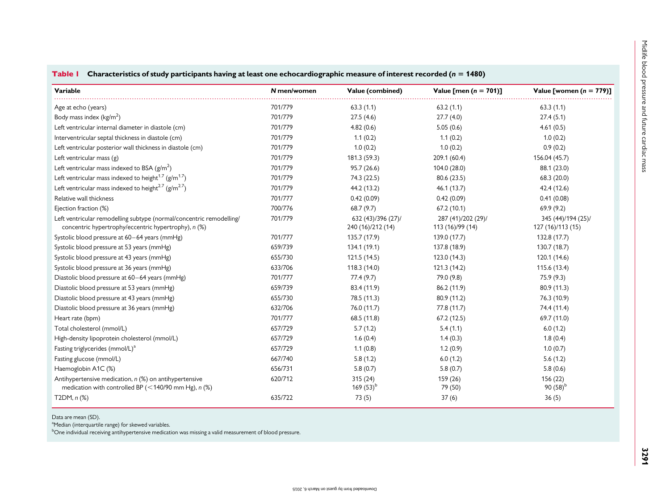#### <span id="page-4-0"></span>Table 1 Characteristics of study participants having at least one echocardiographic measure of interest recorded ( $n = 1480$ )

| Variable                                                                                                                     | N men/women | Value (combined)                        | Value [men ( $n = 701$ )]              | Value [women ( $n = 779$ )]             |
|------------------------------------------------------------------------------------------------------------------------------|-------------|-----------------------------------------|----------------------------------------|-----------------------------------------|
| Age at echo (years)                                                                                                          | 701/779     | 63.3(1.1)                               | 63.2(1.1)                              | 63.3(1.1)                               |
| Body mass index ( $kg/m2$ )                                                                                                  | 701/779     | 27.5(4.6)                               | 27.7(4.0)                              | 27.4(5.1)                               |
| Left ventricular internal diameter in diastole (cm)                                                                          | 701/779     | 4.82(0.6)                               | 5.05(0.6)                              | 4.61(0.5)                               |
| Interventricular septal thickness in diastole (cm)                                                                           | 701/779     | 1.1(0.2)                                | 1.1(0.2)                               | 1.0(0.2)                                |
| Left ventricular posterior wall thickness in diastole (cm)                                                                   | 701/779     | 1.0(0.2)                                | 1.0(0.2)                               | 0.9(0.2)                                |
| Left ventricular mass (g)                                                                                                    | 701/779     | 181.3 (59.3)                            | 209.1 (60.4)                           | 156.04 (45.7)                           |
| Left ventricular mass indexed to BSA $(g/m^2)$                                                                               | 701/779     | 95.7 (26.6)                             | 104.0 (28.0)                           | 88.1 (23.0)                             |
| Left ventricular mass indexed to height <sup>1.7</sup> ( $g/m^{1.7}$ )                                                       | 701/779     | 74.3 (22.5)                             | 80.6 (23.5)                            | 68.3 (20.0)                             |
| Left ventricular mass indexed to height <sup>2.7</sup> ( $g/m^{2.7}$ )                                                       | 701/779     | 44.2 (13.2)                             | 46.1 (13.7)                            | 42.4 (12.6)                             |
| Relative wall thickness                                                                                                      | 701/777     | 0.42(0.09)                              | 0.42(0.09)                             | 0.41(0.08)                              |
| Ejection fraction (%)                                                                                                        | 700/776     | 68.7(9.7)                               | 67.2(10.1)                             | 69.9(9.2)                               |
| Left ventricular remodelling subtype (normal/concentric remodelling/<br>concentric hypertrophy/eccentric hypertrophy), n (%) | 701/779     | 632 (43)/396 (27)/<br>240 (16)/212 (14) | 287 (41)/202 (29)/<br>113 (16)/99 (14) | 345 (44)/194 (25)/<br>127 (16)/113 (15) |
| Systolic blood pressure at 60-64 years (mmHg)                                                                                | 701/777     | 135.7 (17.9)                            | 139.0 (17.7)                           | 132.8 (17.7)                            |
| Systolic blood pressure at 53 years (mmHg)                                                                                   | 659/739     | 134.1 (19.1)                            | 137.8 (18.9)                           | 130.7 (18.7)                            |
| Systolic blood pressure at 43 years (mmHg)                                                                                   | 655/730     | 121.5(14.5)                             | 123.0 (14.3)                           | 120.1 (14.6)                            |
| Systolic blood pressure at 36 years (mmHg)                                                                                   | 633/706     | 118.3 (14.0)                            | 121.3 (14.2)                           | 115.6 (13.4)                            |
| Diastolic blood pressure at 60-64 years (mmHg)                                                                               | 701/777     | 77.4(9.7)                               | 79.0 (9.8)                             | 75.9(9.3)                               |
| Diastolic blood pressure at 53 years (mmHg)                                                                                  | 659/739     | 83.4 (11.9)                             | 86.2 (11.9)                            | 80.9 (11.3)                             |
| Diastolic blood pressure at 43 years (mmHg)                                                                                  | 655/730     | 78.5 (11.3)                             | 80.9 (11.2)                            | 76.3 (10.9)                             |
| Diastolic blood pressure at 36 years (mmHg)                                                                                  | 632/706     | 76.0 (11.7)                             | 77.8(11.7)                             | 74.4 (11.4)                             |
| Heart rate (bpm)                                                                                                             | 701/777     | 68.5 (11.8)                             | 67.2(12.5)                             | 69.7 (11.0)                             |
| Total cholesterol (mmol/L)                                                                                                   | 657/729     | 5.7(1.2)                                | 5.4(1.1)                               | 6.0(1.2)                                |
| High-density lipoprotein cholesterol (mmol/L)                                                                                | 657/729     | 1.6(0.4)                                | 1.4(0.3)                               | 1.8(0.4)                                |
| Fasting triglycerides (mmol/L) <sup>a</sup>                                                                                  | 657/729     | 1.1(0.8)                                | 1.2(0.9)                               | 1.0(0.7)                                |
| Fasting glucose (mmol/L)                                                                                                     | 667/740     | 5.8(1.2)                                | 6.0(1.2)                               | 5.6(1.2)                                |
| Haemoglobin A1C (%)                                                                                                          | 656/731     | 5.8(0.7)                                | 5.8(0.7)                               | 5.8(0.6)                                |
| Antihypertensive medication, $n$ $%$ on antihypertensive<br>medication with controlled BP ( $\leq$ 140/90 mm Hg), n (%)      | 620/712     | 315(24)<br>169 $(53)^{b}$               | 159 (26)<br>79 (50)                    | 156 (22)<br>90 $(58)^{b}$               |
| T2DM, n (%)                                                                                                                  | 635/722     | 73(5)                                   | 37(6)                                  | 36(5)                                   |

Data are mean (SD).

<sup>a</sup>Median (interquartile range) for skewed variables.

bOne individual receiving antihypertensive medication was missing a valid measurement of blood pressure.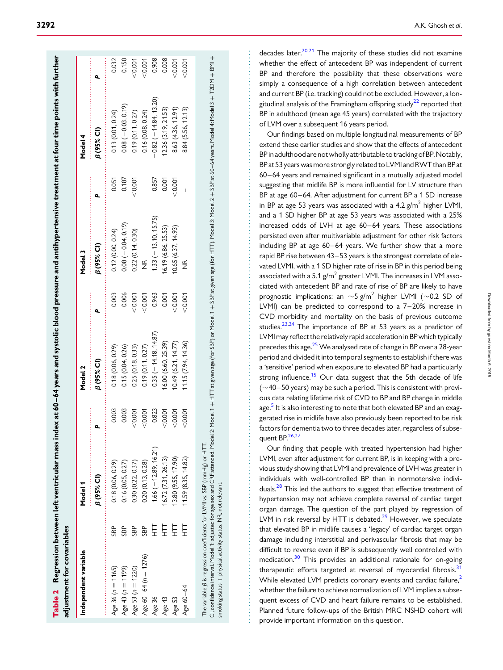| Independent variable                                         |            | Model 1                                                                                                                                                                                                                                                                                                          |         | Model 2               |        | Model 3                 |              | Model 4                |       |
|--------------------------------------------------------------|------------|------------------------------------------------------------------------------------------------------------------------------------------------------------------------------------------------------------------------------------------------------------------------------------------------------------------|---------|-----------------------|--------|-------------------------|--------------|------------------------|-------|
|                                                              |            | $\beta$ (95% CI)                                                                                                                                                                                                                                                                                                 |         | $\beta$ (95% CI)      |        | B (95% CI)              | :<br>::::::: | $(95\%$ CI)            |       |
| Age 36 ( $n = 1165$ )                                        | SBP        | 0.18 (0.06, 0.29)                                                                                                                                                                                                                                                                                                | 0.003   | 0.18 (0.06, 0.29)     | 0.003  | 0.12(0.00, 0.24)        | 0.051        | 0.13(0.01, 0.24)       | 0.032 |
| Age 43 ( $n = 1199$ )                                        | <b>SBP</b> | 0.16(0.05, 0.27)                                                                                                                                                                                                                                                                                                 | 0.003   | 0.15 (0.04, 0.26)     | 0.006  | $0.08(-0.04, 0.19)$     | 0.187        | $0.08(-0.03, 0.19)$    | 0.150 |
| Age 53 ( $n = 1220$ )                                        | SBP        | 0.30 (0.22, 0.37)                                                                                                                                                                                                                                                                                                | 20.001  | 0.25(0.18, 0.33)      | 0.001  | 0.22(0.14, 0.30)        | 10001        | 0.19(0.11, 0.27)       | 0.001 |
| Age 60-64 ( $n = 1276$ )                                     | SBP        | 0.20(0.13, 0.28)                                                                                                                                                                                                                                                                                                 | 20.001  | 0.19(0.11, 0.27)      | 20.001 | e<br>E                  |              | 0.16(0.08, 0.24)       | 10001 |
| Age 36                                                       |            | $1.66(-12.89, 16.21)$                                                                                                                                                                                                                                                                                            | 0.823   | $0.35(-14.18, 14.87)$ | 0.963  | $(1.33(-13.10, 15.75))$ | 0.857        | $-0.82(-14.84, 13.20)$ | 0.908 |
| Age 43                                                       |            | 16.72 (7.31, 26.13)                                                                                                                                                                                                                                                                                              | 10001   | 16.00 (6.60, 25.39)   | 0.001  | 6.19 (6.86, 25.53)      | 0.001        | 12.36 (3.19, 21.53)    | 0.008 |
| Age 53                                                       |            | 13.80 (9.55, 17.90)                                                                                                                                                                                                                                                                                              | 20.001  | 10.49 (6.21, 14.77)   | 0.001  | 0.65(6.37, 14.93)       | 10001        | 8.63 (4.36, 12.91)     | 1000  |
| Age 60-64                                                    |            | 11.59 (8.35, 14.82)                                                                                                                                                                                                                                                                                              | < 0.001 | 11.15 (7.94, 14.36)   | 0.001  | $\frac{\alpha}{2}$      |              | 8.84 (5.56, 12.13)     | 10000 |
| smoking status + physical activity status. NR, not relevant. |            | CI, confidence interval. Model 1: adjusted for age sex and CRF attended. Model 1 HTTT at given age (for SBP at given age (for HTTT). Model 2: Model 2: Model 2: No. HPT). Model 4: Model 3: HTD. Model 4: Model 3: HTD. Model<br>The variable $\beta$ is regression coefficients for LVMI vs. SBP (mmHg) or HTT. |         |                       |        |                         |              |                        |       |

decades later.<sup>[20](#page-7-0),[21](#page-7-0)</sup> The majority of these studies did not examine whether the effect of antecedent BP was independent of current BP and therefore the possibility that these observations were simply a consequence of a high correlation between antecedent and current BP (i.e. tracking) could not be excluded. However, a lon-gitudinal analysis of the Framingham offspring study<sup>[22](#page-7-0)</sup> reported that BP in adulthood (mean age 45 years) correlated with the trajectory of LVM over a subsequent 16 years period.

Our findings based on multiple longitudinal measurements of BP extend these earlier studies and show that the effects of antecedent BP in adulthood are not wholly attributable to tracking of BP. Notably, BPat53 years was more strongly related to LVMI and RWT than BPat 60–64 years and remained significant in a mutually adjusted model suggesting that midlife BP is more influential for LV structure than BP at age 60–64. After adjustment for current BP a 1 SD increase in BP at age 53 years was associated with a  $4.2$  g/m<sup>2</sup> higher LVMI, and a 1 SD higher BP at age 53 years was associated with a 25% increased odds of LVH at age 60–64 years. These associations persisted even after multivariable adjustment for other risk factors including BP at age 60–64 years. We further show that a more rapid BP rise between 43–53 years is the strongest correlate of elevated LVMI, with a 1 SD higher rate of rise in BP in this period being associated with a 5.1  $\mathrm{g/m}^2$  greater LVMI. The increases in LVM associated with antecedent BP and rate of rise of BP are likely to have prognostic implications: an  $\sim$ 5 g/m<sup>2</sup> higher LVMI ( $\sim$ 0.2 SD of LVMI) can be predicted to correspond to a 7–20% increase in CVD morbidity and mortality on the basis of previous outcome studies.<sup>[23](#page-7-0),[24](#page-7-0)</sup> The importance of BP at 53 years as a predictor of LVMI may reflect the relatively rapid acceleration in BP which typically precedes this age.<sup>[25](#page-7-0)</sup> We analysed rate of change in BP over a 28-year period and divided it into temporal segments to establish if there was a 'sensitive' period when exposure to elevated BP had a particularly strong influence.<sup>15</sup> Our data suggest that the 5th decade of life  $(\sim$  40–50 years) may be such a period. This is consistent with previous data relating lifetime risk of CVD to BP and BP change in middle age.<sup>[5](#page-7-0)</sup> It is also interesting to note that both elevated BP and an exaggerated rise in midlife have also previously been reported to be risk factors for dementia two to three decades later, regardless of subsequent BP.<sup>26,27</sup>

Our finding that people with treated hypertension had higher LVMI, even after adjustment for current BP, is in keeping with a previous study showing that LVMI and prevalence of LVH was greater in individuals with well-controlled BP than in normotensive indivi-duals.<sup>[28](#page-8-0)</sup> This led the authors to suggest that effective treatment of hypertension may not achieve complete reversal of cardiac target organ damage. The question of the part played by regression of LVM in risk reversal by HTT is debated. $^{29}$  However, we speculate that elevated BP in midlife causes a 'legacy' of cardiac target organ damage including interstitial and perivascular fibrosis that may be difficult to reverse even if BP is subsequently well controlled with medication.<sup>[30](#page-8-0)</sup> This provides an additional rationale for on-going therapeutic efforts targeted at reversal of myocardial fibrosis.<sup>[31](#page-8-0)</sup> While elevated LVM predicts coronary events and cardiac failure,<sup>[2](#page-7-0)</sup> whether the failure to achieve normalization of LVM implies a subsequent excess of CVD and heart failure remains to be established. Planned future follow-ups of the British MRC NSHD cohort will provide important information on this question.

<span id="page-5-0"></span>Table 2 Regression between left ventricular mass index at 60–64 years and systolic blood pressure and antihypertensive treatment at four time points with further

Regression between left ventricular mass index at 60–64 years and systolic blood pressure and antihypertensive treatment at four time points with further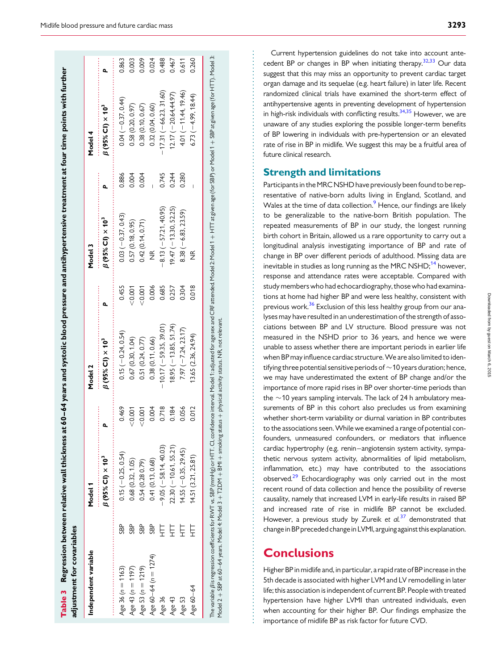| Independent variable     |            | Model 1                                   |                 | Model 2                                   |        | Model 3                                   |                                  | Model 4                                   |                        |
|--------------------------|------------|-------------------------------------------|-----------------|-------------------------------------------|--------|-------------------------------------------|----------------------------------|-------------------------------------------|------------------------|
|                          |            | $\beta$ (95% CI) $\times$ 10 <sup>3</sup> | :<br>:::::::::: | $\beta$ (95% CI) $\times$ 10 <sup>3</sup> | ۵      | $\beta$ (95% CI) $\times$ 10 <sup>3</sup> | :<br>:<br>:<br>:<br>:<br>:<br>ä, | $\beta$ (95% CI) $\times$ 10 <sup>3</sup> |                        |
| Age 36 ( $n = 1163$ )    | <b>SBP</b> | $0.15 (-0.25, 0.54)$                      | 0.469           | $0.15(-0.24, 0.54)$                       | 0.455  | $0.03(-0.37, 0.43)$                       | 0.886                            | $0.04 (-0.37, 0.44)$                      | $\frac{1}{2}$<br>0.863 |
| Age 43 (n = 1197)        | <b>SBP</b> | 0.68 (0.32, 1.05)                         | 10001           | 0.67(0.30, 1.04)                          | 20.001 | 0.57(0.18, 0.95)                          | 0.004                            | 0.58(0.20, 0.97)                          | 0.003                  |
| Age 53 ( $n = 1219$ )    | SBP        | 0.54 (0.28 0.79)                          | 10001           | 0.51(0.24, 0.77)                          | 10001  | 0.42(0.14, 0.71)                          | 0.004                            | 0.38(0.10, 0.67)                          | 0.009                  |
| Age $60 - 64$ (n = 1274) | SBP        | 0.41(0.13, 0.68)                          | 0.004           | 0.38(0.11, 0.66)                          | 0.006  | ž                                         |                                  | 0.32 (0.04, 0.60)                         | 0.024                  |
| Age 36                   |            | $-9.05(-58.14, 40.03)$                    | 0.718           | $-10.17(-59.35, 39.01)$                   | 0.685  | $8.13(-57.21, 40.95)$                     | 0.745                            | $-17.31(-66.23, 31.60)$                   | 0.488                  |
| Age 43                   | Ę          | $22.30(-10.61, 55.21)$                    | 0.184           | $18.95 (-13.85, 51.74)$                   | 0.257  | $19.47 (-13.30, 52.25)$                   | 0.244                            | $12.17 (-20.64, 44.97)$                   | 0.467                  |
| Age 53                   |            | $14.55 (-0.35, 29.45)$                    | 0.056           | $7.97 (-7.24, 23.17)$                     | 0.304  | $8.38(-6.83, 23.59)$                      | 0.280                            | $4.01 (-11.44, 19.46)$                    | 0.611                  |
| Age 60-64                |            | 14.51 (3.21, 25.81)                       | 0.012           | 13.65 (2.36, 24.94)                       | 0.018  | $\frac{\alpha}{2}$                        |                                  | $6.73(-4.99, 18.44)$                      | 0.260                  |

Table 3

Regression between relative wall thickness at 60–64 years and systolic blood pressure and antihypertensive treatment at four time points with further

<span id="page-6-0"></span>Regression between relative wall thickness at 60–64 years and systolic blood pressure and antihypertensive treatment at four time points with further

Current hypertension guidelines do not take into account ante-cedent BP or changes in BP when initiating therapy.<sup>[32](#page-8-0),[33](#page-8-0)</sup> Our data suggest that this may miss an opportunity to prevent cardiac target organ damage and its sequelae (e.g. heart failure) in later life. Recent randomized clinical trials have examined the short-term effect of antihypertensive agents in preventing development of hypertension in high-risk individuals with conflicting results.  $34,35$  However, we are unaware of any studies exploring the possible longer-term benefits of BP lowering in individuals with pre-hypertension or an elevated rate of rise in BP in midlife. We suggest this may be a fruitful area of future clinical research.

#### Strength and limitations

Participants in the MRC NSHD have previously been found to be representative of native-born adults living in England, Scotland, and Wales at the time of data collection.<sup>[9](#page-7-0)</sup> Hence, our findings are likely to be generalizable to the native-born British population. The repeated measurements of BP in our study, the longest running birth cohort in Britain, allowed us a rare opportunity to carry out a longitudinal analysis investigating importance of BP and rate of change in BP over different periods of adulthood. Missing data are inevitable in studies as long running as the MRC NSHD; $^{14}$  $^{14}$  $^{14}$  however, response and attendance rates were acceptable. Compared with study members who had echocardiography, those who had examinations at home had higher BP and were less healthy, consistent with previous work.<sup>[36](#page-8-0)</sup> Exclusion of this less healthy group from our analyses may have resulted in an underestimation of the strength of associations between BP and LV structure. Blood pressure was not measured in the NSHD prior to 36 years, and hence we were unable to assess whether there are important periods in earlier life when BP may influence cardiacstructure. We are also limited to identifying three potential sensitive periods of  $\sim$  10 years duration; hence, we may have underestimated the extent of BP change and/or the importance of more rapid rises in BP over shorter-time periods than the  $\sim$ 10 years sampling intervals. The lack of 24 h ambulatory measurements of BP in this cohort also precludes us from examining whether short-term variability or diurnal variation in BP contributes to the associations seen. While we examined a range of potential confounders, unmeasured confounders, or mediators that influence cardiac hypertrophy (e.g. renin–angiotensin system activity, sympathetic nervous system activity, abnormalities of lipid metabolism, inflammation, etc.) may have contributed to the associations observed.<sup>29</sup> Echocardiography was only carried out in the most recent round of data collection and hence the possibility of reverse causality, namely that increased LVM in early-life results in raised BP and increased rate of rise in midlife BP cannot be excluded. However, a previous study by Zureik et  $al^{37}$  $al^{37}$  $al^{37}$  demonstrated that change in BP preceded change in LVMI, arguing against this explanation.

## **Conclusions**

Higher BP in midlife and, in particular, a rapid rate of BP increase in the 5th decade is associated with higher LVM and LV remodelling in later life; this association is independent of current BP. People with treated hypertension have higher LVMI than untreated individuals, even when accounting for their higher BP. Our findings emphasize the importance of midlife BP as risk factor for future CVD.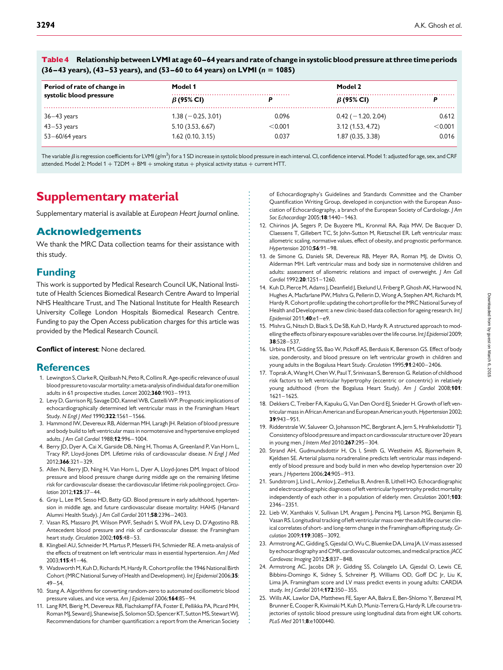| Period of rate of change in | Model 1              |         | Model 2              |         |
|-----------------------------|----------------------|---------|----------------------|---------|
| systolic blood pressure     | $\beta$ (95% CI)     |         | $\beta$ (95% CI)     |         |
| 36–43 years                 | $1.38 (-0.25, 3.01)$ | 0.096   | $0.42 (-1.20, 2.04)$ | 0.612   |
| $43 - 53$ years             | 5.10(3.53, 6.67)     | < 0.001 | 3.12(1.53, 4.72)     | < 0.001 |
| 53–60/64 years              | 1.62(0.10, 3.15)     | 0.037   | 1.87 (0.35, 3.38)    | 0.016   |

<span id="page-7-0"></span>Table 4 Relationship between LVMI at age 60–64 years and rate of change in systolic blood pressure at three time periods  $(36-43 \text{ years})$ ,  $(43-53 \text{ years})$ , and  $(53-60 \text{ to } 64 \text{ years})$  on LVMI  $(n = 1085)$ 

The variable  $\beta$  is regression coefficients for LVMI (g/m<sup>2</sup>) for a 1 SD increase in systolic blood pressure in each interval. CI, confidence interval. Model 1: adjusted for age, sex, and CRF attended. Model 2: Model 1 + T2DM + BMI + smoking status + physical activity status + current HTT.

## Supplementary material

[Supplementary material is available at](http://eurheartj.oxfordjournals.org/lookup/suppl/doi:10.1093/eurheartj/ehu389/-/DC1) European Heart Journal online.

#### Acknowledgements

We thank the MRC Data collection teams for their assistance with this study.

#### Funding

This work is supported by Medical Research Council UK, National Institute of Health Sciences Biomedical Research Centre Award to Imperial NHS Healthcare Trust, and The National Institute for Health Research University College London Hospitals Biomedical Research Centre. Funding to pay the Open Access publication charges for this article was provided by the Medical Research Council.

#### Conflict of interest: None declared.

#### **References**

- 1. Lewington S, Clarke R, Qizilbash N, Peto R, Collins R. Age-specific relevance of usual blood pressure to vascular mortality: a meta-analysis of individual data for one million adults in 61 prospective studies. Lancet 2002;360:1903–1913.
- 2. Levy D, Garrison RJ, Savage DD, Kannel WB, Castelli WP. Prognostic implications of echocardiographically determined left ventricular mass in the Framingham Heart Study. N Engl | Med 1990;322:1561-1566.
- 3. Hammond IW, Devereux RB, Alderman MH, Laragh JH. Relation of blood pressure and body build to left ventricular mass in normotensive and hypertensive employed adults. J Am Coll Cardiol 1988;12:996–1004.
- 4. Berry JD, Dyer A, Cai X, Garside DB, Ning H, Thomas A, Greenland P, Van Horn L, Tracy RP, Lloyd-Jones DM. Lifetime risks of cardiovascular disease. N Engl J Med 2012;366:321–329.
- 5. Allen N, Berry JD, Ning H, Van Horn L, Dyer A, Lloyd-Jones DM. Impact of blood pressure and blood pressure change during middle age on the remaining lifetime risk for cardiovascular disease: the cardiovascular lifetime risk pooling project. Circulation 2012;125:37–44.
- 6. Gray L, Lee IM, Sesso HD, Batty GD. Blood pressure in early adulthood, hypertension in middle age, and future cardiovascular disease mortality: HAHS (Harvard Alumni Health Study). J Am Coll Cardiol 2011;58:2396–2403.
- 7. Vasan RS, Massaro JM, Wilson PWF, Seshadri S, Wolf PA, Levy D, D'Agostino RB. Antecedent blood pressure and risk of cardiovascular disease: the Framingham heart study. Circulation 2002;105:48-53.
- 8. Klingbeil AU, Schneider M, Martus P, Messerli FH, Schmieder RE. A meta-analysis of the effects of treatment on left ventricular mass in essential hypertension. Am J Med 2003;115:41–46.
- 9. Wadsworth M, Kuh D, Richards M, Hardy R. Cohort profile: the 1946 National Birth Cohort (MRC National Survey of Health and Development). Int J Epidemiol 2006;35: 49–54.
- 10. Stang A. Algorithms for converting random-zero to automated oscillometric blood pressure values, and vice versa. Am J Epidemiol 2006;164:85-94.
- 11. Lang RM, Bierig M, Devereux RB, Flachskampf FA, Foster E, Pellikka PA, Picard MH, Roman MJ, Seward J, Shanewise JS, Solomon SD, Spencer KT, Sutton MS, Stewart WJ. Recommendations for chamber quantification: a report from the American Society

of Echocardiography's Guidelines and Standards Committee and the Chamber Quantification Writing Group, developed in conjunction with the European Association of Echocardiography, a branch of the European Society of Cardiology. J Am Soc Echocardiogr 2005:18:1440-1463.

- 12. Chirinos JA, Segers P, De Buyzere ML, Kronmal RA, Raja MW, De Bacquer D, Claessens T, Gillebert TC, St John-Sutton M, Rietzschel ER. Left ventricular mass: allometric scaling, normative values, effect of obesity, and prognostic performance. Hypertension 2010;56:91–98.
- 13. de Simone G, Daniels SR, Devereux RB, Meyer RA, Roman MJ, de Divitis O, Alderman MH. Left ventricular mass and body size in normotensive children and adults: assessment of allometric relations and impact of overweight. J Am Coll Cardiol 1992;20:1251–1260.
- 14. Kuh D, Pierce M, Adams J, Deanfield J, Ekelund U, Friberg P, Ghosh AK, Harwood N, Hughes A, Macfarlane PW, Mishra G, Pellerin D, Wong A, Stephen AM, Richards M, Hardy R. Cohort profile: updating the cohort profile for the MRC National Survey of Health and Development: a new clinic-based data collection for ageing research. Int J Epidemiol 2011;40:e1–e9.
- 15. Mishra G, Nitsch D, Black S, De SB, Kuh D, Hardy R. A structured approach to modelling the effects of binary exposure variables over the life course. Int J Epidemiol 2009; 38:528–537.
- 16. Urbina EM, Gidding SS, Bao W, Pickoff AS, Berdusis K, Berenson GS. Effect of body size, ponderosity, and blood pressure on left ventricular growth in children and young adults in the Bogalusa Heart Study. Circulation 1995;91:2400–2406.
- 17. Toprak A, Wang H, Chen W, Paul T, Srinivasan S, Berenson G. Relation of childhood risk factors to left ventricular hypertrophy (eccentric or concentric) in relatively young adulthood (from the Bogalusa Heart Study). Am J Cardiol 2008;101: 1621–1625.
- 18. Dekkers C, Treiber FA, Kapuku G, Van Den Oord EJ, Snieder H. Growth of left ventricular mass in African American and European American youth. Hypertension 2002; 39:943–951.
- 19. Ridderstrale W, Saluveer O, Johansson MC, Bergbrant A, Jern S, Hrafnkelsdottir TJ. Consistency of blood pressure and impact on cardiovascular structure over 20 years in young men. J Intern Med 2010;267:295–304.
- 20. Strand AH, Gudmundsdottir H, Os I, Smith G, Westheim AS, Bjornerheim R, Kjeldsen SE. Arterial plasma noradrenaline predicts left ventricular mass independently of blood pressure and body build in men who develop hypertension over 20 years. | Hypertens 2006;24:905-913.
- 21. Sundstrom J, Lind L, Arnlov J, Zethelius B, Andren B, Lithell HO. Echocardiographic and electrocardiographic diagnoses of left ventricular hypertrophy predict mortality independently of each other in a population of elderly men. Circulation 2001;103: 2346–2351.
- 22. Lieb W, Xanthakis V, Sullivan LM, Aragam J, Pencina MJ, Larson MG, Benjamin EJ, VasanRS. Longitudinal tracking of left ventricular mass over the adult life course: clinical correlates of short- and long-term change in the Framingham offspring study. Circulation 2009;119:3085–3092.
- 23. Armstrong AC, Gidding S, Gjesdal O, Wu C, Bluemke DA, Lima JA. LV mass assessed by echocardiography and CMR, cardiovascular outcomes, and medical practice. JACC Cardiovasc Imaging 2012;5:837–848.
- 24. Armstrong AC, Jacobs DR Jr, Gidding SS, Colangelo LA, Gjesdal O, Lewis CE, Bibbins-Domingo K, Sidney S, Schreiner PJ, Williams OD, Goff DC Jr, Liu K, Lima JA. Framingham score and LV mass predict events in young adults: CARDIA study. Int I Cardiol 2014:172:350-355.
- 25. Wills AK, Lawlor DA, Matthews FE, Sayer AA, Bakra E, Ben-Shlomo Y, Benzeval M, Brunner E, Cooper R, Kivimaki M, Kuh D, Muniz-Terrera G, Hardy R. Life course trajectories of systolic blood pressure using longitudinal data from eight UK cohorts. PLoS Med 2011;8:e1000440.